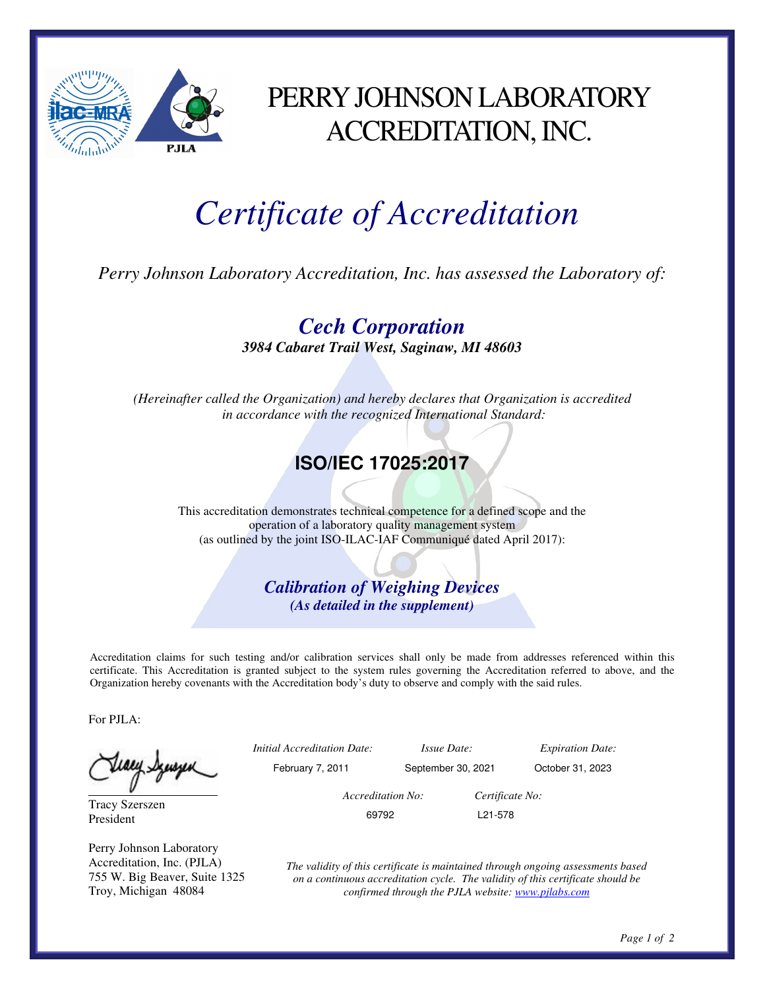

## PERRY JOHNSON LABORATORY ACCREDITATION, INC.

# *Certificate of Accreditation*

*Perry Johnson Laboratory Accreditation, Inc. has assessed the Laboratory of:* 

*Cech Corporation 3984 Cabaret Trail West, Saginaw, MI 48603* 

*(Hereinafter called the Organization) and hereby declares that Organization is accredited in accordance with the recognized International Standard:* 

#### **ISO/IEC 17025:2017**

This accreditation demonstrates technical competence for a defined scope and the operation of a laboratory quality management system (as outlined by the joint ISO-ILAC-IAF Communiqué dated April 2017):

> *Calibration of Weighing Devices (As detailed in the supplement)*

Accreditation claims for such testing and/or calibration services shall only be made from addresses referenced within this certificate. This Accreditation is granted subject to the system rules governing the Accreditation referred to above, and the Organization hereby covenants with the Accreditation body's duty to observe and comply with the said rules.

For PJLA:

Fiaey Szuszen

Tracy Szerszen President

Perry Johnson Laboratory Accreditation, Inc. (PJLA) 755 W. Big Beaver, Suite 1325 Troy, Michigan 48084

|   | <i>Initial Accreditation Date:</i> | <i>Issue Date:</i> |                      | <b>Expiration Date:</b> |
|---|------------------------------------|--------------------|----------------------|-------------------------|
| ٮ | February 7, 2011                   | September 30, 2021 |                      | October 31, 2023        |
|   | Accreditation No:                  |                    | Certificate No:      |                         |
|   | 69792                              |                    | L <sub>21</sub> -578 |                         |
|   |                                    |                    |                      |                         |

*The validity of this certificate is maintained through ongoing assessments based on a continuous accreditation cycle. The validity of this certificate should be confirmed through the PJLA website: www.pjlabs.com*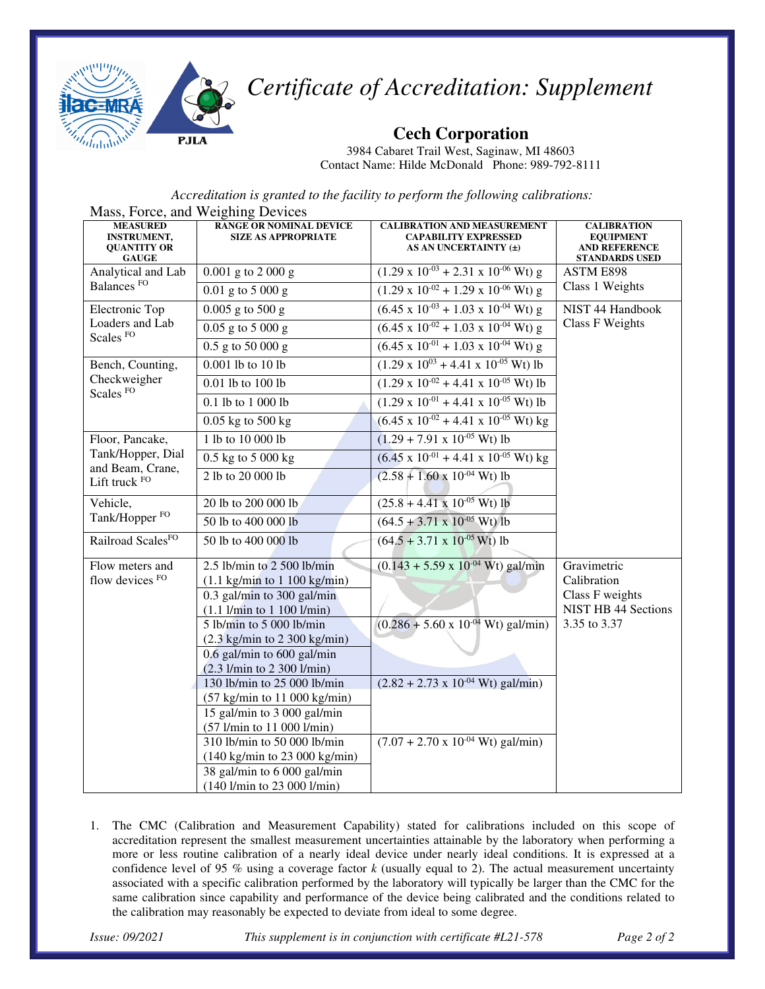

### *Certificate of Accreditation: Supplement*

**Cech Corporation** 

3984 Cabaret Trail West, Saginaw, MI 48603 Contact Name: Hilde McDonald Phone: 989-792-8111

*Accreditation is granted to the facility to perform the following calibrations:*

| Mass, Force, and Weighing Devices                                           |                                                                                                                                                      |                                                                                            |                                                                                         |  |  |  |  |
|-----------------------------------------------------------------------------|------------------------------------------------------------------------------------------------------------------------------------------------------|--------------------------------------------------------------------------------------------|-----------------------------------------------------------------------------------------|--|--|--|--|
| <b>MEASURED</b><br><b>INSTRUMENT,</b><br><b>QUANTITY OR</b><br><b>GAUGE</b> | <b>RANGE OR NOMINAL DEVICE</b><br><b>SIZE AS APPROPRIATE</b>                                                                                         | <b>CALIBRATION AND MEASUREMENT</b><br><b>CAPABILITY EXPRESSED</b><br>AS AN UNCERTAINTY (±) | <b>CALIBRATION</b><br><b>EQUIPMENT</b><br><b>AND REFERENCE</b><br><b>STANDARDS USED</b> |  |  |  |  |
| Analytical and Lab                                                          | $0.001$ g to 2 000 g                                                                                                                                 | $(1.29 \times 10^{-03} + 2.31 \times 10^{-06} \text{ Wt}) g$                               | ASTM E898<br>Class 1 Weights                                                            |  |  |  |  |
| Balances <sup>FO</sup>                                                      | $0.01$ g to 5 000 g                                                                                                                                  | $(1.29 \times 10^{-02} + 1.29 \times 10^{-06} \text{ Wt}) g$                               |                                                                                         |  |  |  |  |
| Electronic Top                                                              | $0.005$ g to 500 g                                                                                                                                   | $(6.45 \times 10^{-03} + 1.03 \times 10^{-04} \text{ Wt})$ g                               | NIST 44 Handbook<br><b>Class F Weights</b>                                              |  |  |  |  |
| Loaders and Lab<br>Scales <sup>FO</sup>                                     | $0.05$ g to 5 000 g                                                                                                                                  | $(6.45 \times 10^{-02} + 1.03 \times 10^{-04} \text{ Wt}) g$                               |                                                                                         |  |  |  |  |
|                                                                             | $0.5$ g to 50 000 g                                                                                                                                  | $(6.45 \times 10^{-01} + 1.03 \times 10^{-04} \text{ Wt}) g$                               |                                                                                         |  |  |  |  |
| Bench, Counting,                                                            | 0.001 lb to 10 lb                                                                                                                                    | $(1.29 \times 10^{03} + 4.41 \times 10^{-05} \text{ Wt})$ lb                               |                                                                                         |  |  |  |  |
| Checkweigher<br>Scales FO                                                   | 0.01 lb to 100 lb                                                                                                                                    | $(1.29 \times 10^{-02} + 4.41 \times 10^{-05} \text{ Wt})$ lb                              |                                                                                         |  |  |  |  |
|                                                                             | 0.1 lb to 1 000 lb                                                                                                                                   | $(1.29 \times 10^{-01} + 4.41 \times 10^{-05} \text{ Wt})$ lb                              |                                                                                         |  |  |  |  |
|                                                                             | $0.05$ kg to $500$ kg                                                                                                                                | $(6.45 \times 10^{-02} + 4.41 \times 10^{-05} \text{ Wt}) \text{ kg}$                      |                                                                                         |  |  |  |  |
| Floor, Pancake,                                                             | 1 lb to 10 000 lb                                                                                                                                    | $(1.29 + 7.91 \times 10^{-05} \text{ Wt})$ lb                                              |                                                                                         |  |  |  |  |
| Tank/Hopper, Dial                                                           | 0.5 kg to 5 000 kg                                                                                                                                   | $(6.45 \times 10^{-01} + 4.41 \times 10^{-05} \text{ Wt}) \text{ kg}$                      |                                                                                         |  |  |  |  |
| and Beam, Crane,<br>Lift truck FO                                           | 2 lb to 20 000 lb                                                                                                                                    | $(2.58 + 1.60 \times 10^{-04} \text{ Wt})$ lb                                              |                                                                                         |  |  |  |  |
| Vehicle,                                                                    | 20 lb to 200 000 lb                                                                                                                                  | $(25.8 + 4.41 \times 10^{-05} \text{ Wt})$ lb                                              |                                                                                         |  |  |  |  |
| Tank/Hopper <sup>FO</sup>                                                   | 50 lb to 400 000 lb                                                                                                                                  | $(64.5 + 3.71 \times 10^{-05} \text{ Wt})$ lb                                              |                                                                                         |  |  |  |  |
| Railroad ScalesFO                                                           | 50 lb to 400 000 lb                                                                                                                                  | $(64.5 + 3.71 \times 10^{-05} \text{ Wt})$ lb                                              |                                                                                         |  |  |  |  |
| Flow meters and<br>flow devices FO                                          | $2.5$ lb/min to $2500$ lb/min<br>$(1.1$ kg/min to $1$ 100 kg/min)<br>$0.3$ gal/min to 300 gal/min<br>$(1.1$ l/min to $1 100$ l/min)                  | $(0.143 + 5.59 \times 10^{-04} \text{ Wt})$ gal/min                                        | Gravimetric<br>Calibration<br>Class F weights<br><b>NIST HB 44 Sections</b>             |  |  |  |  |
|                                                                             | 5 lb/min to 5 000 lb/min<br>$(2.3 \text{ kg/min}$ to $2 \frac{300 \text{ kg/min}}{2})$<br>0.6 gal/min to 600 gal/min<br>$(2.3$ l/min to 2 300 l/min) | $(0.286 + 5.60 \times 10^{-04} \text{ Wt})$ gal/min)<br>3.35 to 3.37                       |                                                                                         |  |  |  |  |
|                                                                             | 130 lb/min to 25 000 lb/min<br>$(57 \text{ kg/min}$ to $11\,000 \text{ kg/min})$<br>15 gal/min to 3 000 gal/min<br>(57 l/min to 11 000 l/min)        | $(2.82 + 2.73 \times 10^{-04} \text{ Wt})$ gal/min)                                        |                                                                                         |  |  |  |  |
|                                                                             | 310 lb/min to 50 000 lb/min<br>(140 kg/min to 23 000 kg/min)<br>38 gal/min to 6 000 gal/min<br>(140 l/min to 23 000 l/min)                           | $(7.07 + 2.70 \times 10^{-04} \text{ Wt})$ gal/min)                                        |                                                                                         |  |  |  |  |

1. The CMC (Calibration and Measurement Capability) stated for calibrations included on this scope of accreditation represent the smallest measurement uncertainties attainable by the laboratory when performing a more or less routine calibration of a nearly ideal device under nearly ideal conditions. It is expressed at a confidence level of 95 % using a coverage factor *k* (usually equal to 2). The actual measurement uncertainty associated with a specific calibration performed by the laboratory will typically be larger than the CMC for the same calibration since capability and performance of the device being calibrated and the conditions related to the calibration may reasonably be expected to deviate from ideal to some degree.

*Issue: 09/2021 This supplement is in conjunction with certificate #L21-578 Page 2 of 2*